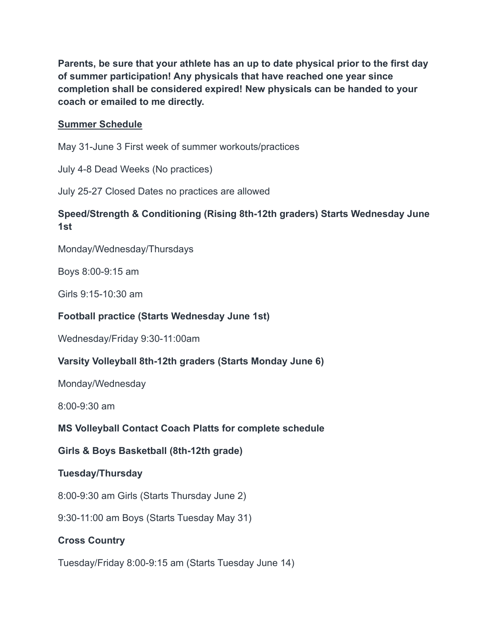**Parents, be sure that your athlete has an up to date physical prior to the first day of summer participation! Any physicals that have reached one year since completion shall be considered expired! New physicals can be handed to your coach or emailed to me directly.**

### **Summer Schedule**

May 31-June 3 First week of summer workouts/practices

July 4-8 Dead Weeks (No practices)

July 25-27 Closed Dates no practices are allowed

# **Speed/Strength & Conditioning (Rising 8th-12th graders) Starts Wednesday June 1st**

Monday/Wednesday/Thursdays

Boys 8:00-9:15 am

Girls 9:15-10:30 am

### **Football practice (Starts Wednesday June 1st)**

Wednesday/Friday 9:30-11:00am

# **Varsity Volleyball 8th-12th graders (Starts Monday June 6)**

Monday/Wednesday

8:00-9:30 am

# **MS Volleyball Contact Coach Platts for complete schedule**

# **Girls & Boys Basketball (8th-12th grade)**

#### **Tuesday/Thursday**

8:00-9:30 am Girls (Starts Thursday June 2)

9:30-11:00 am Boys (Starts Tuesday May 31)

# **Cross Country**

Tuesday/Friday 8:00-9:15 am (Starts Tuesday June 14)